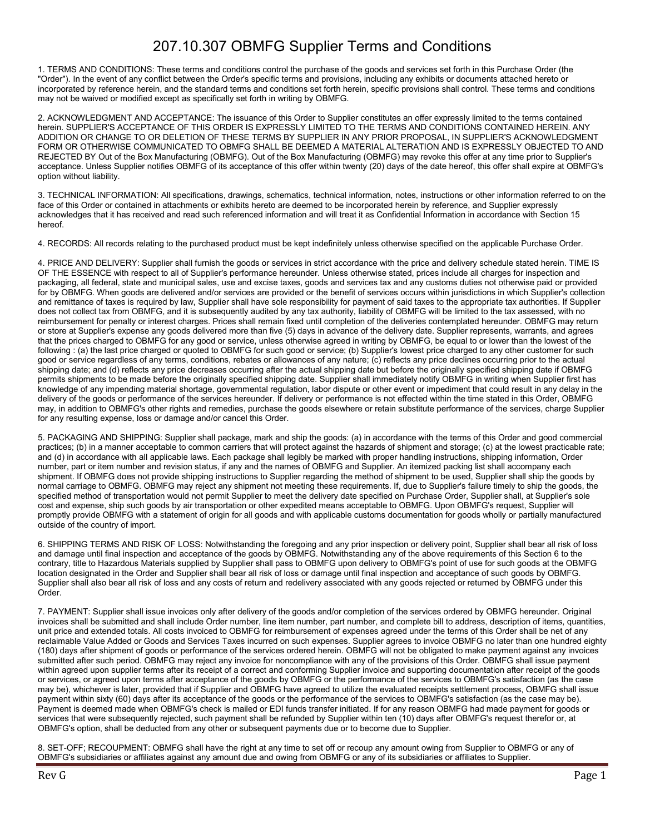## 207.10.307 OBMFG Supplier Terms and Conditions

1. TERMS AND CONDITIONS: These terms and conditions control the purchase of the goods and services set forth in this Purchase Order (the "Order"). In the event of any conflict between the Order's specific terms and provisions, including any exhibits or documents attached hereto or incorporated by reference herein, and the standard terms and conditions set forth herein, specific provisions shall control. These terms and conditions may not be waived or modified except as specifically set forth in writing by OBMFG.

2. ACKNOWLEDGMENT AND ACCEPTANCE: The issuance of this Order to Supplier constitutes an offer expressly limited to the terms contained herein. SUPPLIER'S ACCEPTANCE OF THIS ORDER IS EXPRESSLY LIMITED TO THE TERMS AND CONDITIONS CONTAINED HEREIN. ANY ADDITION OR CHANGE TO OR DELETION OF THESE TERMS BY SUPPLIER IN ANY PRIOR PROPOSAL, IN SUPPLIER'S ACKNOWLEDGMENT FORM OR OTHERWISE COMMUNICATED TO OBMFG SHALL BE DEEMED A MATERIAL ALTERATION AND IS EXPRESSLY OBJECTED TO AND REJECTED BY Out of the Box Manufacturing (OBMFG). Out of the Box Manufacturing (OBMFG) may revoke this offer at any time prior to Supplier's acceptance. Unless Supplier notifies OBMFG of its acceptance of this offer within twenty (20) days of the date hereof, this offer shall expire at OBMFG's option without liability.

3. TECHNICAL INFORMATION: All specifications, drawings, schematics, technical information, notes, instructions or other information referred to on the face of this Order or contained in attachments or exhibits hereto are deemed to be incorporated herein by reference, and Supplier expressly acknowledges that it has received and read such referenced information and will treat it as Confidential Information in accordance with Section 15 hereof.

4. RECORDS: All records relating to the purchased product must be kept indefinitely unless otherwise specified on the applicable Purchase Order.

4. PRICE AND DELIVERY: Supplier shall furnish the goods or services in strict accordance with the price and delivery schedule stated herein. TIME IS OF THE ESSENCE with respect to all of Supplier's performance hereunder. Unless otherwise stated, prices include all charges for inspection and packaging, all federal, state and municipal sales, use and excise taxes, goods and services tax and any customs duties not otherwise paid or provided for by OBMFG. When goods are delivered and/or services are provided or the benefit of services occurs within jurisdictions in which Supplier's collection and remittance of taxes is required by law, Supplier shall have sole responsibility for payment of said taxes to the appropriate tax authorities. If Supplier does not collect tax from OBMFG, and it is subsequently audited by any tax authority, liability of OBMFG will be limited to the tax assessed, with no reimbursement for penalty or interest charges. Prices shall remain fixed until completion of the deliveries contemplated hereunder. OBMFG may return or store at Supplier's expense any goods delivered more than five (5) days in advance of the delivery date. Supplier represents, warrants, and agrees that the prices charged to OBMFG for any good or service, unless otherwise agreed in writing by OBMFG, be equal to or lower than the lowest of the following : (a) the last price charged or quoted to OBMFG for such good or service; (b) Supplier's lowest price charged to any other customer for such good or service regardless of any terms, conditions, rebates or allowances of any nature; (c) reflects any price declines occurring prior to the actual shipping date; and (d) reflects any price decreases occurring after the actual shipping date but before the originally specified shipping date if OBMFG permits shipments to be made before the originally specified shipping date. Supplier shall immediately notify OBMFG in writing when Supplier first has knowledge of any impending material shortage, governmental regulation, labor dispute or other event or impediment that could result in any delay in the delivery of the goods or performance of the services hereunder. If delivery or performance is not effected within the time stated in this Order, OBMFG may, in addition to OBMFG's other rights and remedies, purchase the goods elsewhere or retain substitute performance of the services, charge Supplier for any resulting expense, loss or damage and/or cancel this Order.

5. PACKAGING AND SHIPPING: Supplier shall package, mark and ship the goods: (a) in accordance with the terms of this Order and good commercial practices; (b) in a manner acceptable to common carriers that will protect against the hazards of shipment and storage; (c) at the lowest practicable rate; and (d) in accordance with all applicable laws. Each package shall legibly be marked with proper handling instructions, shipping information, Order number, part or item number and revision status, if any and the names of OBMFG and Supplier. An itemized packing list shall accompany each shipment. If OBMFG does not provide shipping instructions to Supplier regarding the method of shipment to be used, Supplier shall ship the goods by normal carriage to OBMFG. OBMFG may reject any shipment not meeting these requirements. If, due to Supplier's failure timely to ship the goods, the specified method of transportation would not permit Supplier to meet the delivery date specified on Purchase Order, Supplier shall, at Supplier's sole cost and expense, ship such goods by air transportation or other expedited means acceptable to OBMFG. Upon OBMFG's request, Supplier will promptly provide OBMFG with a statement of origin for all goods and with applicable customs documentation for goods wholly or partially manufactured outside of the country of import.

6. SHIPPING TERMS AND RISK OF LOSS: Notwithstanding the foregoing and any prior inspection or delivery point, Supplier shall bear all risk of loss and damage until final inspection and acceptance of the goods by OBMFG. Notwithstanding any of the above requirements of this Section 6 to the contrary, title to Hazardous Materials supplied by Supplier shall pass to OBMFG upon delivery to OBMFG's point of use for such goods at the OBMFG location designated in the Order and Supplier shall bear all risk of loss or damage until final inspection and acceptance of such goods by OBMFG. Supplier shall also bear all risk of loss and any costs of return and redelivery associated with any goods rejected or returned by OBMFG under this Order.

7. PAYMENT: Supplier shall issue invoices only after delivery of the goods and/or completion of the services ordered by OBMFG hereunder. Original invoices shall be submitted and shall include Order number, line item number, part number, and complete bill to address, description of items, quantities, unit price and extended totals. All costs invoiced to OBMFG for reimbursement of expenses agreed under the terms of this Order shall be net of any reclaimable Value Added or Goods and Services Taxes incurred on such expenses. Supplier agrees to invoice OBMFG no later than one hundred eighty (180) days after shipment of goods or performance of the services ordered herein. OBMFG will not be obligated to make payment against any invoices submitted after such period. OBMFG may reject any invoice for noncompliance with any of the provisions of this Order. OBMFG shall issue payment within agreed upon supplier terms after its receipt of a correct and conforming Supplier invoice and supporting documentation after receipt of the goods or services, or agreed upon terms after acceptance of the goods by OBMFG or the performance of the services to OBMFG's satisfaction (as the case may be), whichever is later, provided that if Supplier and OBMFG have agreed to utilize the evaluated receipts settlement process, OBMFG shall issue payment within sixty (60) days after its acceptance of the goods or the performance of the services to OBMFG's satisfaction (as the case may be). Payment is deemed made when OBMFG's check is mailed or EDI funds transfer initiated. If for any reason OBMFG had made payment for goods or services that were subsequently rejected, such payment shall be refunded by Supplier within ten (10) days after OBMFG's request therefor or, at OBMFG's option, shall be deducted from any other or subsequent payments due or to become due to Supplier.

8. SET-OFF; RECOUPMENT: OBMFG shall have the right at any time to set off or recoup any amount owing from Supplier to OBMFG or any of OBMFG's subsidiaries or affiliates against any amount due and owing from OBMFG or any of its subsidiaries or affiliates to Supplier.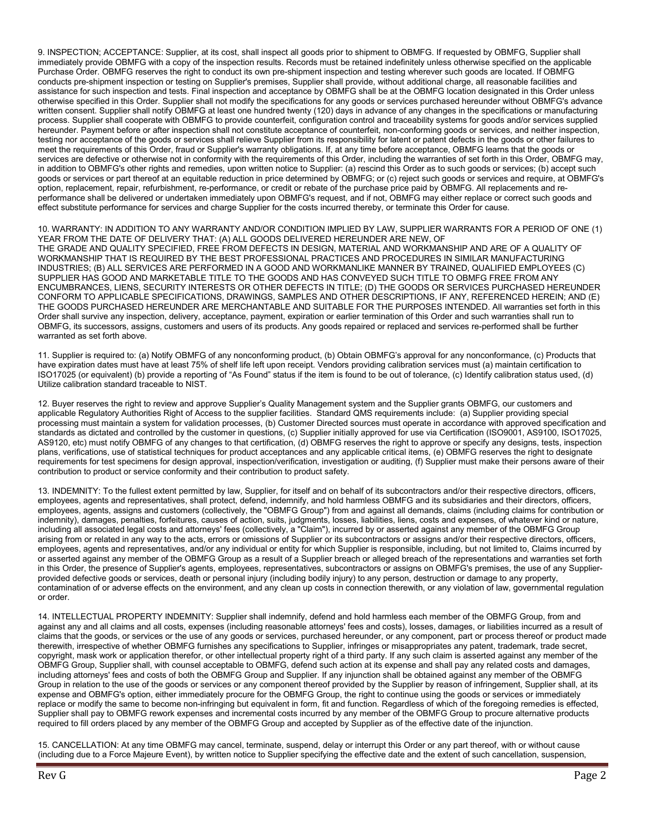9. INSPECTION; ACCEPTANCE: Supplier, at its cost, shall inspect all goods prior to shipment to OBMFG. If requested by OBMFG, Supplier shall immediately provide OBMFG with a copy of the inspection results. Records must be retained indefinitely unless otherwise specified on the applicable Purchase Order. OBMFG reserves the right to conduct its own pre-shipment inspection and testing wherever such goods are located. If OBMFG conducts pre-shipment inspection or testing on Supplier's premises, Supplier shall provide, without additional charge, all reasonable facilities and assistance for such inspection and tests. Final inspection and acceptance by OBMFG shall be at the OBMFG location designated in this Order unless otherwise specified in this Order. Supplier shall not modify the specifications for any goods or services purchased hereunder without OBMFG's advance written consent. Supplier shall notify OBMFG at least one hundred twenty (120) days in advance of any changes in the specifications or manufacturing process. Supplier shall cooperate with OBMFG to provide counterfeit, configuration control and traceability systems for goods and/or services supplied hereunder. Payment before or after inspection shall not constitute acceptance of counterfeit, non-conforming goods or services, and neither inspection, testing nor acceptance of the goods or services shall relieve Supplier from its responsibility for latent or patent defects in the goods or other failures to meet the requirements of this Order, fraud or Supplier's warranty obligations. If, at any time before acceptance, OBMFG learns that the goods or services are defective or otherwise not in conformity with the requirements of this Order, including the warranties of set forth in this Order, OBMFG may, in addition to OBMFG's other rights and remedies, upon written notice to Supplier: (a) rescind this Order as to such goods or services; (b) accept such goods or services or part thereof at an equitable reduction in price determined by OBMFG; or (c) reject such goods or services and require, at OBMFG's option, replacement, repair, refurbishment, re-performance, or credit or rebate of the purchase price paid by OBMFG. All replacements and reperformance shall be delivered or undertaken immediately upon OBMFG's request, and if not, OBMFG may either replace or correct such goods and effect substitute performance for services and charge Supplier for the costs incurred thereby, or terminate this Order for cause.

10. WARRANTY: IN ADDITION TO ANY WARRANTY AND/OR CONDITION IMPLIED BY LAW, SUPPLIER WARRANTS FOR A PERIOD OF ONE (1) YEAR FROM THE DATE OF DELIVERY THAT: (A) ALL GOODS DELIVERED HEREUNDER ARE NEW, OF THE GRADE AND QUALITY SPECIFIED, FREE FROM DEFECTS IN DESIGN, MATERIAL AND WORKMANSHIP AND ARE OF A QUALITY OF WORKMANSHIP THAT IS REQUIRED BY THE BEST PROFESSIONAL PRACTICES AND PROCEDURES IN SIMILAR MANUFACTURING INDUSTRIES; (B) ALL SERVICES ARE PERFORMED IN A GOOD AND WORKMANLIKE MANNER BY TRAINED, QUALIFIED EMPLOYEES (C) SUPPLIER HAS GOOD AND MARKETABLE TITLE TO THE GOODS AND HAS CONVEYED SUCH TITLE TO OBMFG FREE FROM ANY ENCUMBRANCES, LIENS, SECURITY INTERESTS OR OTHER DEFECTS IN TITLE; (D) THE GOODS OR SERVICES PURCHASED HEREUNDER CONFORM TO APPLICABLE SPECIFICATIONS, DRAWINGS, SAMPLES AND OTHER DESCRIPTIONS, IF ANY, REFERENCED HEREIN; AND (E) THE GOODS PURCHASED HEREUNDER ARE MERCHANTABLE AND SUITABLE FOR THE PURPOSES INTENDED. All warranties set forth in this Order shall survive any inspection, delivery, acceptance, payment, expiration or earlier termination of this Order and such warranties shall run to OBMFG, its successors, assigns, customers and users of its products. Any goods repaired or replaced and services re-performed shall be further warranted as set forth above.

11. Supplier is required to: (a) Notify OBMFG of any nonconforming product, (b) Obtain OBMFG's approval for any nonconformance, (c) Products that have expiration dates must have at least 75% of shelf life left upon receipt. Vendors providing calibration services must (a) maintain certification to ISO17025 (or equivalent) (b) provide a reporting of "As Found" status if the item is found to be out of tolerance, (c) Identify calibration status used, (d) Utilize calibration standard traceable to NIST.

12. Buyer reserves the right to review and approve Supplier's Quality Management system and the Supplier grants OBMFG, our customers and applicable Regulatory Authorities Right of Access to the supplier facilities. Standard QMS requirements include: (a) Supplier providing special processing must maintain a system for validation processes, (b) Customer Directed sources must operate in accordance with approved specification and standards as dictated and controlled by the customer in questions, (c) Supplier initially approved for use via Certification (ISO9001, AS9100, ISO17025, AS9120, etc) must notify OBMFG of any changes to that certification, (d) OBMFG reserves the right to approve or specify any designs, tests, inspection plans, verifications, use of statistical techniques for product acceptances and any applicable critical items, (e) OBMFG reserves the right to designate requirements for test specimens for design approval, inspection/verification, investigation or auditing, (f) Supplier must make their persons aware of their contribution to product or service conformity and their contribution to product safety.

13. INDEMNITY: To the fullest extent permitted by law, Supplier, for itself and on behalf of its subcontractors and/or their respective directors, officers, employees, agents and representatives, shall protect, defend, indemnify, and hold harmless OBMFG and its subsidiaries and their directors, officers, employees, agents, assigns and customers (collectively, the "OBMFG Group") from and against all demands, claims (including claims for contribution or indemnity), damages, penalties, forfeitures, causes of action, suits, judgments, losses, liabilities, liens, costs and expenses, of whatever kind or nature, including all associated legal costs and attorneys' fees (collectively, a "Claim"), incurred by or asserted against any member of the OBMFG Group arising from or related in any way to the acts, errors or omissions of Supplier or its subcontractors or assigns and/or their respective directors, officers, employees, agents and representatives, and/or any individual or entity for which Supplier is responsible, including, but not limited to, Claims incurred by or asserted against any member of the OBMFG Group as a result of a Supplier breach or alleged breach of the representations and warranties set forth in this Order, the presence of Supplier's agents, employees, representatives, subcontractors or assigns on OBMFG's premises, the use of any Supplierprovided defective goods or services, death or personal injury (including bodily injury) to any person, destruction or damage to any property, contamination of or adverse effects on the environment, and any clean up costs in connection therewith, or any violation of law, governmental regulation or order.

14. INTELLECTUAL PROPERTY INDEMNITY: Supplier shall indemnify, defend and hold harmless each member of the OBMFG Group, from and against any and all claims and all costs, expenses (including reasonable attorneys' fees and costs), losses, damages, or liabilities incurred as a result of claims that the goods, or services or the use of any goods or services, purchased hereunder, or any component, part or process thereof or product made therewith, irrespective of whether OBMFG furnishes any specifications to Supplier, infringes or misappropriates any patent, trademark, trade secret, copyright, mask work or application therefor, or other intellectual property right of a third party. If any such claim is asserted against any member of the OBMFG Group, Supplier shall, with counsel acceptable to OBMFG, defend such action at its expense and shall pay any related costs and damages, including attorneys' fees and costs of both the OBMFG Group and Supplier. If any injunction shall be obtained against any member of the OBMFG Group in relation to the use of the goods or services or any component thereof provided by the Supplier by reason of infringement, Supplier shall, at its expense and OBMFG's option, either immediately procure for the OBMFG Group, the right to continue using the goods or services or immediately replace or modify the same to become non-infringing but equivalent in form, fit and function. Regardless of which of the foregoing remedies is effected, Supplier shall pay to OBMFG rework expenses and incremental costs incurred by any member of the OBMFG Group to procure alternative products required to fill orders placed by any member of the OBMFG Group and accepted by Supplier as of the effective date of the injunction.

15. CANCELLATION: At any time OBMFG may cancel, terminate, suspend, delay or interrupt this Order or any part thereof, with or without cause (including due to a Force Majeure Event), by written notice to Supplier specifying the effective date and the extent of such cancellation, suspension,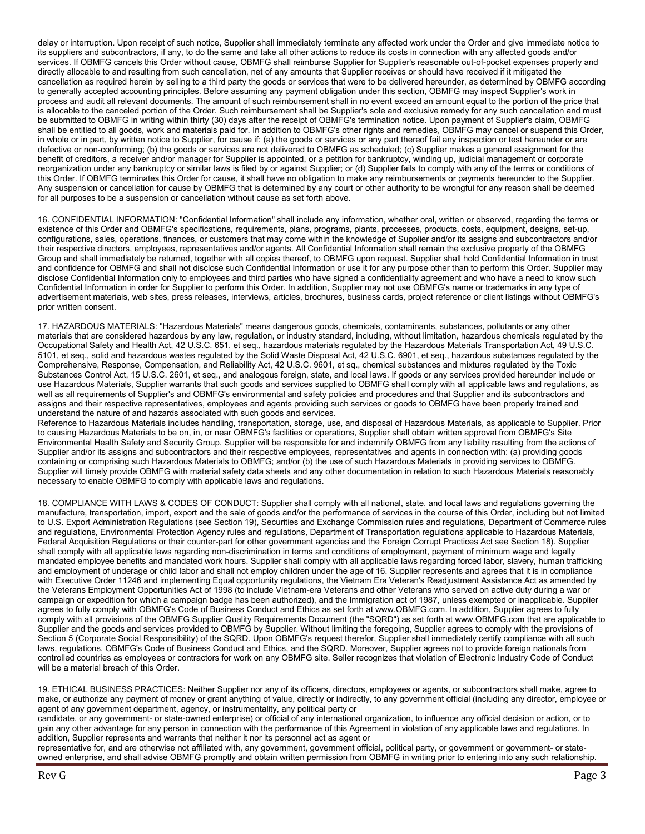delay or interruption. Upon receipt of such notice, Supplier shall immediately terminate any affected work under the Order and give immediate notice to its suppliers and subcontractors, if any, to do the same and take all other actions to reduce its costs in connection with any affected goods and/or services. If OBMFG cancels this Order without cause, OBMFG shall reimburse Supplier for Supplier's reasonable out-of-pocket expenses properly and directly allocable to and resulting from such cancellation, net of any amounts that Supplier receives or should have received if it mitigated the cancellation as required herein by selling to a third party the goods or services that were to be delivered hereunder, as determined by OBMFG according to generally accepted accounting principles. Before assuming any payment obligation under this section, OBMFG may inspect Supplier's work in process and audit all relevant documents. The amount of such reimbursement shall in no event exceed an amount equal to the portion of the price that is allocable to the canceled portion of the Order. Such reimbursement shall be Supplier's sole and exclusive remedy for any such cancellation and must be submitted to OBMFG in writing within thirty (30) days after the receipt of OBMFG's termination notice. Upon payment of Supplier's claim, OBMFG shall be entitled to all goods, work and materials paid for. In addition to OBMFG's other rights and remedies, OBMFG may cancel or suspend this Order, in whole or in part, by written notice to Supplier, for cause if: (a) the goods or services or any part thereof fail any inspection or test hereunder or are defective or non-conforming; (b) the goods or services are not delivered to OBMFG as scheduled; (c) Supplier makes a general assignment for the benefit of creditors, a receiver and/or manager for Supplier is appointed, or a petition for bankruptcy, winding up, judicial management or corporate reorganization under any bankruptcy or similar laws is filed by or against Supplier; or (d) Supplier fails to comply with any of the terms or conditions of this Order. If OBMFG terminates this Order for cause, it shall have no obligation to make any reimbursements or payments hereunder to the Supplier. Any suspension or cancellation for cause by OBMFG that is determined by any court or other authority to be wrongful for any reason shall be deemed for all purposes to be a suspension or cancellation without cause as set forth above.

16. CONFIDENTIAL INFORMATION: "Confidential Information" shall include any information, whether oral, written or observed, regarding the terms or existence of this Order and OBMFG's specifications, requirements, plans, programs, plants, processes, products, costs, equipment, designs, set-up, configurations, sales, operations, finances, or customers that may come within the knowledge of Supplier and/or its assigns and subcontractors and/or their respective directors, employees, representatives and/or agents. All Confidential Information shall remain the exclusive property of the OBMFG Group and shall immediately be returned, together with all copies thereof, to OBMFG upon request. Supplier shall hold Confidential Information in trust and confidence for OBMFG and shall not disclose such Confidential Information or use it for any purpose other than to perform this Order. Supplier may disclose Confidential Information only to employees and third parties who have signed a confidentiality agreement and who have a need to know such Confidential Information in order for Supplier to perform this Order. In addition, Supplier may not use OBMFG's name or trademarks in any type of advertisement materials, web sites, press releases, interviews, articles, brochures, business cards, project reference or client listings without OBMFG's prior written consent.

17. HAZARDOUS MATERIALS: "Hazardous Materials" means dangerous goods, chemicals, contaminants, substances, pollutants or any other materials that are considered hazardous by any law, regulation, or industry standard, including, without limitation, hazardous chemicals regulated by the Occupational Safety and Health Act, 42 U.S.C. 651, et seq., hazardous materials regulated by the Hazardous Materials Transportation Act, 49 U.S.C. 5101, et seq., solid and hazardous wastes regulated by the Solid Waste Disposal Act, 42 U.S.C. 6901, et seq., hazardous substances regulated by the Comprehensive, Response, Compensation, and Reliability Act, 42 U.S.C. 9601, et sq., chemical substances and mixtures regulated by the Toxic Substances Control Act, 15 U.S.C. 2601, et seq., and analogous foreign, state, and local laws. If goods or any services provided hereunder include or use Hazardous Materials, Supplier warrants that such goods and services supplied to OBMFG shall comply with all applicable laws and regulations, as well as all requirements of Supplier's and OBMFG's environmental and safety policies and procedures and that Supplier and its subcontractors and assigns and their respective representatives, employees and agents providing such services or goods to OBMFG have been properly trained and understand the nature of and hazards associated with such goods and services.

Reference to Hazardous Materials includes handling, transportation, storage, use, and disposal of Hazardous Materials, as applicable to Supplier. Prior to causing Hazardous Materials to be on, in, or near OBMFG's facilities or operations, Supplier shall obtain written approval from OBMFG's Site Environmental Health Safety and Security Group. Supplier will be responsible for and indemnify OBMFG from any liability resulting from the actions of Supplier and/or its assigns and subcontractors and their respective employees, representatives and agents in connection with: (a) providing goods containing or comprising such Hazardous Materials to OBMFG; and/or (b) the use of such Hazardous Materials in providing services to OBMFG. Supplier will timely provide OBMFG with material safety data sheets and any other documentation in relation to such Hazardous Materials reasonably necessary to enable OBMFG to comply with applicable laws and regulations.

18. COMPLIANCE WITH LAWS & CODES OF CONDUCT: Supplier shall comply with all national, state, and local laws and regulations governing the manufacture, transportation, import, export and the sale of goods and/or the performance of services in the course of this Order, including but not limited to U.S. Export Administration Regulations (see Section 19), Securities and Exchange Commission rules and regulations, Department of Commerce rules and regulations, Environmental Protection Agency rules and regulations, Department of Transportation regulations applicable to Hazardous Materials, Federal Acquisition Regulations or their counter-part for other government agencies and the Foreign Corrupt Practices Act see Section 18). Supplier shall comply with all applicable laws regarding non-discrimination in terms and conditions of employment, payment of minimum wage and legally mandated employee benefits and mandated work hours. Supplier shall comply with all applicable laws regarding forced labor, slavery, human trafficking and employment of underage or child labor and shall not employ children under the age of 16. Supplier represents and agrees that it is in compliance with Executive Order 11246 and implementing Equal opportunity regulations, the Vietnam Era Veteran's Readjustment Assistance Act as amended by the Veterans Employment Opportunities Act of 1998 (to include Vietnam-era Veterans and other Veterans who served on active duty during a war or campaign or expedition for which a campaign badge has been authorized), and the Immigration act of 1987, unless exempted or inapplicable. Supplier agrees to fully comply with OBMFG's Code of Business Conduct and Ethics as set forth at www.OBMFG.com. In addition, Supplier agrees to fully comply with all provisions of the OBMFG Supplier Quality Requirements Document (the "SQRD") as set forth at www.OBMFG.com that are applicable to Supplier and the goods and services provided to OBMFG by Supplier. Without limiting the foregoing, Supplier agrees to comply with the provisions of Section 5 (Corporate Social Responsibility) of the SQRD. Upon OBMFG's request therefor, Supplier shall immediately certify compliance with all such laws, regulations, OBMFG's Code of Business Conduct and Ethics, and the SQRD. Moreover, Supplier agrees not to provide foreign nationals from controlled countries as employees or contractors for work on any OBMFG site. Seller recognizes that violation of Electronic Industry Code of Conduct will be a material breach of this Order.

19. ETHICAL BUSINESS PRACTICES: Neither Supplier nor any of its officers, directors, employees or agents, or subcontractors shall make, agree to make, or authorize any payment of money or grant anything of value, directly or indirectly, to any government official (including any director, employee or agent of any government department, agency, or instrumentality, any political party or

candidate, or any government- or state-owned enterprise) or official of any international organization, to influence any official decision or action, or to gain any other advantage for any person in connection with the performance of this Agreement in violation of any applicable laws and regulations. In addition, Supplier represents and warrants that neither it nor its personnel act as agent or

representative for, and are otherwise not affiliated with, any government, government official, political party, or government or government- or stateowned enterprise, and shall advise OBMFG promptly and obtain written permission from OBMFG in writing prior to entering into any such relationship.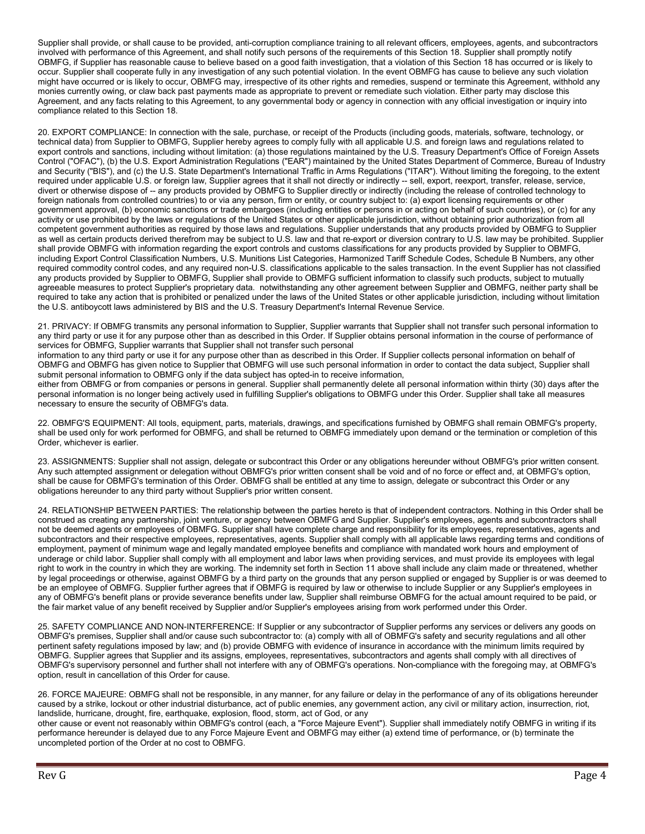Supplier shall provide, or shall cause to be provided, anti-corruption compliance training to all relevant officers, employees, agents, and subcontractors involved with performance of this Agreement, and shall notify such persons of the requirements of this Section 18. Supplier shall promptly notify OBMFG, if Supplier has reasonable cause to believe based on a good faith investigation, that a violation of this Section 18 has occurred or is likely to occur. Supplier shall cooperate fully in any investigation of any such potential violation. In the event OBMFG has cause to believe any such violation might have occurred or is likely to occur, OBMFG may, irrespective of its other rights and remedies, suspend or terminate this Agreement, withhold any monies currently owing, or claw back past payments made as appropriate to prevent or remediate such violation. Either party may disclose this Agreement, and any facts relating to this Agreement, to any governmental body or agency in connection with any official investigation or inquiry into compliance related to this Section 18.

20. EXPORT COMPLIANCE: In connection with the sale, purchase, or receipt of the Products (including goods, materials, software, technology, or technical data) from Supplier to OBMFG, Supplier hereby agrees to comply fully with all applicable U.S. and foreign laws and regulations related to export controls and sanctions, including without limitation: (a) those regulations maintained by the U.S. Treasury Department's Office of Foreign Assets Control ("OFAC"), (b) the U.S. Export Administration Regulations ("EAR") maintained by the United States Department of Commerce, Bureau of Industry and Security ("BIS"), and (c) the U.S. State Department's International Traffic in Arms Regulations ("ITAR"). Without limiting the foregoing, to the extent required under applicable U.S. or foreign law, Supplier agrees that it shall not directly or indirectly -- sell, export, reexport, transfer, release, service, divert or otherwise dispose of -- any products provided by OBMFG to Supplier directly or indirectly (including the release of controlled technology to foreign nationals from controlled countries) to or via any person, firm or entity, or country subject to: (a) export licensing requirements or other government approval, (b) economic sanctions or trade embargoes (including entities or persons in or acting on behalf of such countries), or (c) for any activity or use prohibited by the laws or regulations of the United States or other applicable jurisdiction, without obtaining prior authorization from all competent government authorities as required by those laws and regulations. Supplier understands that any products provided by OBMFG to Supplier as well as certain products derived therefrom may be subject to U.S. law and that re-export or diversion contrary to U.S. law may be prohibited. Supplier shall provide OBMFG with information regarding the export controls and customs classifications for any products provided by Supplier to OBMFG, including Export Control Classification Numbers, U.S. Munitions List Categories, Harmonized Tariff Schedule Codes, Schedule B Numbers, any other required commodity control codes, and any required non-U.S. classifications applicable to the sales transaction. In the event Supplier has not classified any products provided by Supplier to OBMFG, Supplier shall provide to OBMFG sufficient information to classify such products, subject to mutually agreeable measures to protect Supplier's proprietary data. notwithstanding any other agreement between Supplier and OBMFG, neither party shall be required to take any action that is prohibited or penalized under the laws of the United States or other applicable jurisdiction, including without limitation the U.S. antiboycott laws administered by BIS and the U.S. Treasury Department's Internal Revenue Service.

21. PRIVACY: If OBMFG transmits any personal information to Supplier, Supplier warrants that Supplier shall not transfer such personal information to any third party or use it for any purpose other than as described in this Order. If Supplier obtains personal information in the course of performance of services for OBMFG, Supplier warrants that Supplier shall not transfer such personal

information to any third party or use it for any purpose other than as described in this Order. If Supplier collects personal information on behalf of OBMFG and OBMFG has given notice to Supplier that OBMFG will use such personal information in order to contact the data subject, Supplier shall submit personal information to OBMFG only if the data subject has opted-in to receive information,

either from OBMFG or from companies or persons in general. Supplier shall permanently delete all personal information within thirty (30) days after the personal information is no longer being actively used in fulfilling Supplier's obligations to OBMFG under this Order. Supplier shall take all measures necessary to ensure the security of OBMFG's data.

22. OBMFG'S EQUIPMENT: All tools, equipment, parts, materials, drawings, and specifications furnished by OBMFG shall remain OBMFG's property, shall be used only for work performed for OBMFG, and shall be returned to OBMFG immediately upon demand or the termination or completion of this Order, whichever is earlier.

23. ASSIGNMENTS: Supplier shall not assign, delegate or subcontract this Order or any obligations hereunder without OBMFG's prior written consent. Any such attempted assignment or delegation without OBMFG's prior written consent shall be void and of no force or effect and, at OBMFG's option, shall be cause for OBMFG's termination of this Order. OBMFG shall be entitled at any time to assign, delegate or subcontract this Order or any obligations hereunder to any third party without Supplier's prior written consent.

24. RELATIONSHIP BETWEEN PARTIES: The relationship between the parties hereto is that of independent contractors. Nothing in this Order shall be construed as creating any partnership, joint venture, or agency between OBMFG and Supplier. Supplier's employees, agents and subcontractors shall not be deemed agents or employees of OBMFG. Supplier shall have complete charge and responsibility for its employees, representatives, agents and subcontractors and their respective employees, representatives, agents. Supplier shall comply with all applicable laws regarding terms and conditions of employment, payment of minimum wage and legally mandated employee benefits and compliance with mandated work hours and employment of underage or child labor. Supplier shall comply with all employment and labor laws when providing services, and must provide its employees with legal right to work in the country in which they are working. The indemnity set forth in Section 11 above shall include any claim made or threatened, whether by legal proceedings or otherwise, against OBMFG by a third party on the grounds that any person supplied or engaged by Supplier is or was deemed to be an employee of OBMFG. Supplier further agrees that if OBMFG is required by law or otherwise to include Supplier or any Supplier's employees in any of OBMFG's benefit plans or provide severance benefits under law, Supplier shall reimburse OBMFG for the actual amount required to be paid, or the fair market value of any benefit received by Supplier and/or Supplier's employees arising from work performed under this Order.

25. SAFETY COMPLIANCE AND NON-INTERFERENCE: If Supplier or any subcontractor of Supplier performs any services or delivers any goods on OBMFG's premises, Supplier shall and/or cause such subcontractor to: (a) comply with all of OBMFG's safety and security regulations and all other pertinent safety regulations imposed by law; and (b) provide OBMFG with evidence of insurance in accordance with the minimum limits required by OBMFG. Supplier agrees that Supplier and its assigns, employees, representatives, subcontractors and agents shall comply with all directives of OBMFG's supervisory personnel and further shall not interfere with any of OBMFG's operations. Non-compliance with the foregoing may, at OBMFG's option, result in cancellation of this Order for cause.

26. FORCE MAJEURE: OBMFG shall not be responsible, in any manner, for any failure or delay in the performance of any of its obligations hereunder caused by a strike, lockout or other industrial disturbance, act of public enemies, any government action, any civil or military action, insurrection, riot, landslide, hurricane, drought, fire, earthquake, explosion, flood, storm, act of God, or any

other cause or event not reasonably within OBMFG's control (each, a "Force Majeure Event"). Supplier shall immediately notify OBMFG in writing if its performance hereunder is delayed due to any Force Majeure Event and OBMFG may either (a) extend time of performance, or (b) terminate the uncompleted portion of the Order at no cost to OBMFG.